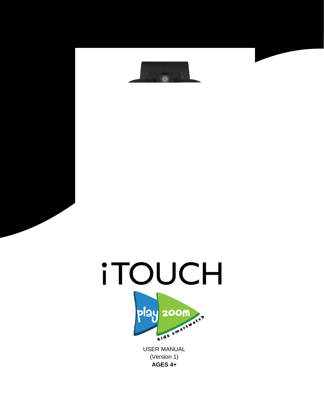



(Version 1) **AGES 4+**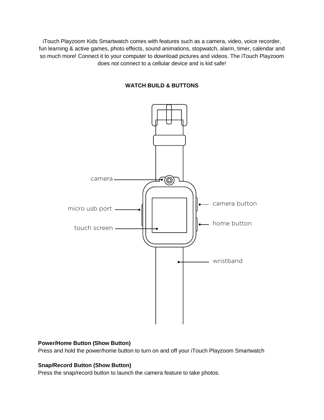iTouch Playzoom Kids Smartwatch comes with features such as a camera, video, voice recorder, fun learning & active games, photo effects, sound animations, stopwatch, alarm, timer, calendar and so much more! Connect it to your computer to download pictures and videos. The iTouch Playzoom does not connect to a cellular device and is kid safe!



## **WATCH BUILD & BUTTONS**

#### **Power/Home Button (Show Button)**

Press and hold the power/home button to turn on and off your iTouch Playzoom Smartwatch

## **Snap/Record Button (Show Button)**

Press the snap/record button to launch the camera feature to take photos.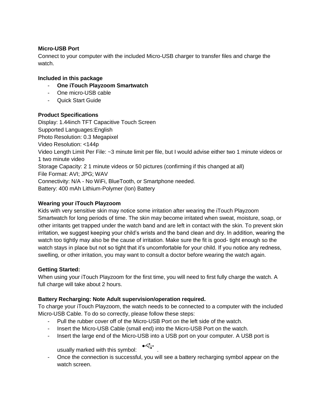### **Micro-USB Port**

Connect to your computer with the included Micro-USB charger to transfer files and charge the watch.

### **Included in this package**

- **One iTouch Playzoom Smartwatch**
- One micro-USB cable
- Quick Start Guide

### **Product Specifications**

Display: 1.44inch TFT Capacitive Touch Screen Supported Languages:English Photo Resolution: 0.3 Megapixel Video Resolution: <144p Video Length Limit Per File: ~3 minute limit per file, but I would advise either two 1 minute videos or 1 two minute video Storage Capacity: 2 1 minute videos or 50 pictures (confirming if this changed at all) File Format: AVI; JPG; WAV Connectivity: N/A - No WiFi, BlueTooth, or Smartphone needed. Battery: 400 mAh Lithium-Polymer (Ion) Battery

### **Wearing your iTouch Playzoom**

Kids with very sensitive skin may notice some irritation after wearing the iTouch Playzoom Smartwatch for long periods of time. The skin may become irritated when sweat, moisture, soap, or other irritants get trapped under the watch band and are left in contact with the skin. To prevent skin irritation, we suggest keeping your child's wrists and the band clean and dry. In addition, wearing the watch too tightly may also be the cause of irritation. Make sure the fit is good- tight enough so the watch stays in place but not so tight that it's uncomfortable for your child. If you notice any redness, swelling, or other irritation, you may want to consult a doctor before wearing the watch again.

#### **Getting Started:**

When using your iTouch Playzoom for the first time, you will need to first fully charge the watch. A full charge will take about 2 hours.

## **Battery Recharging: Note Adult supervision/operation required.**

To charge your iTouch Playzoom, the watch needs to be connected to a computer with the included Micro-USB Cable. To do so correctly, please follow these steps:

- Pull the rubber cover off of the Micro-USB Port on the left side of the watch.
- Insert the Micro-USB Cable (small end) into the Micro-USB Port on the watch.
- Insert the large end of the Micro-USB into a USB port on your computer. A USB port is

usually marked with this symbol: .

- Once the connection is successful, you will see a battery recharging symbol appear on the watch screen.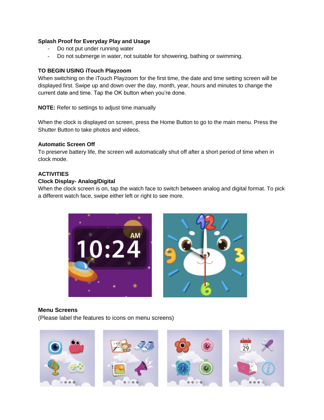### **Splash Proof for Everyday Play and Usage**

- Do not put under running water
- Do not submerge in water, not suitable for showering, bathing or swimming.

#### **TO BEGIN USING iTouch Playzoom**

When switching on the iTouch Playzoom for the first time, the date and time setting screen will be displayed first. Swipe up and down over the day, month, year, hours and minutes to change the current date and time. Tap the OK button when you're done.

**NOTE:** Refer to settings to adjust time manually

When the clock is displayed on screen, press the Home Button to go to the main menu. Press the Shutter Button to take photos and videos.

### **Automatic Screen Off**

To preserve battery life, the screen will automatically shut off after a short period of time when in clock mode.

## **ACTIVITIES**

### **Clock Display- Analog/Digital**

When the clock screen is on, tap the watch face to switch between analog and digital format. To pick a different watch face, swipe either left or right to see more.



#### **Menu Screens**

(Please label the features to icons on menu screens)

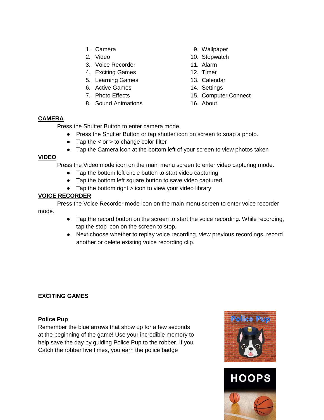- 
- 
- 3. Voice Recorder 11. Alarm
- 4. Exciting Games 12. Timer
- 5. Learning Games 13. Calendar
- 
- 
- 8. Sound Animations 16. About
- 1. Camera 61. Camera 1. Camera 1. Camera 1. Camera 1. Camera 1. Camera 1. Camera 1. Camera 1. Camera 1. Camera 1. Camera 1. Camera 1. Camera 1. Camera 1. Camera 1. Camera 1. Camera 1. Camera 1. Camera 1. Camera 1. Camera 1
- 2. Video 10. Stopwatch
	-
	-
	-
- 6. Active Games 14. Settings
- 7. Photo Effects 15. Computer Connect
	-

## **CAMERA**

Press the Shutter Button to enter camera mode.

- Press the Shutter Button or tap shutter icon on screen to snap a photo.
- Tap the  $\lt$  or  $>$  to change color filter
- Tap the Camera icon at the bottom left of your screen to view photos taken

## **VIDEO**

Press the Video mode icon on the main menu screen to enter video capturing mode.

- Tap the bottom left circle button to start video capturing
- Tap the bottom left square button to save video captured
- Tap the bottom right > icon to view your video library

## **VOICE RECORDER**

Press the Voice Recorder mode icon on the main menu screen to enter voice recorder mode.

- Tap the record button on the screen to start the voice recording. While recording, tap the stop icon on the screen to stop.
- Next choose whether to replay voice recording, view previous recordings, record another or delete existing voice recording clip.

## **EXCITING GAMES**

## **Police Pup**

Remember the blue arrows that show up for a few seconds at the beginning of the game! Use your incredible memory to help save the day by guiding Police Pup to the robber. If you Catch the robber five times, you earn the police badge



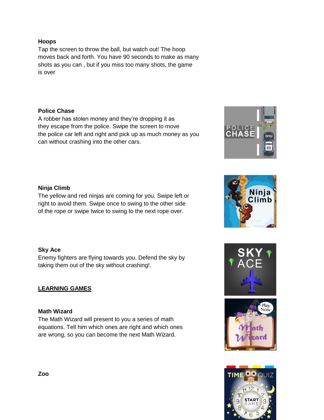## **Hoops**

Tap the screen to throw the ball, but watch out! The hoop moves back and forth. You have 90 seconds to make as many shots as you can , but if you miss too many shots, the game is over

## **Police Chase**

A robber has stolen money and they're dropping it as they escape from the police. Swipe the screen to move the police car left and right and pick up as much money as you can without crashing into the other cars.

# **Ninja Climb**

The yellow and red ninjas are coming for you. Swipe left or right to avoid them. Swipe once to swing to the other side of the rope or swipe twice to swing to the next rope over.

## **Sky Ace**

Enemy fighters are flying towards you. Defend the sky by taking them out of the sky without crashing!.

## **LEARNING GAMES**

## **Math Wizard**

The Math Wizard will present to you a series of math equations. Tell him which ones are right and which ones are wrong, so you can become the next Math Wizard.









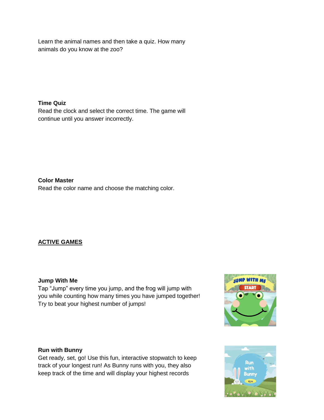Learn the animal names and then take a quiz. How many animals do you know at the zoo?

**Time Quiz**  Read the clock and select the correct time. The game will continue until you answer incorrectly.

**Color Master**  Read the color name and choose the matching color.

# **ACTIVE GAMES**

## **Jump With Me**

Tap "Jump" every time you jump, and the frog will jump with you while counting how many times you have jumped together! Try to beat your highest number of jumps!



## **Run with Bunny**

Get ready, set, go! Use this fun, interactive stopwatch to keep track of your longest run! As Bunny runs with you, they also keep track of the time and will display your highest records

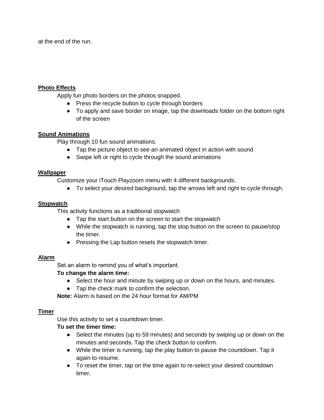at the end of the run.

### **Photo Effects**

Apply fun photo borders on the photos snapped.

- Press the recycle button to cycle through borders
- To apply and save border on image, tap the downloads folder on the bottom right of the screen

## **Sound Animations**

Play through 10 fun sound animations.

- Tap the picture object to see an animated object in action with sound
- Swipe left or right to cycle through the sound animations

### **Wallpaper**

Customize your iTouch Playzoom menu with 4 different backgrounds.

● To select your desired background, tap the arrows left and right to cycle through.

## **Stopwatch**

This activity functions as a traditional stopwatch

- Tap the start button on the screen to start the stopwatch
- While the stopwatch is running, tap the stop button on the screen to pause/stop the timer.
- Pressing the Lap button resets the stopwatch timer.

## **Alarm**

Set an alarm to remind you of what's important.

## **To change the alarm time:**

- Select the hour and minute by swiping up or down on the hours, and minutes.
- Tap the check mark to confirm the selection.

**Note:** Alarm is based on the 24 hour format for AM/PM

## **Timer**

Use this activity to set a countdown timer.

## **To set the timer time:**

- Select the minutes (up to 59 minutes) and seconds by swiping up or down on the minutes and seconds. Tap the check button to confirm.
- While the timer is running, tap the play button to pause the countdown. Tap it again to resume.
- To reset the timer, tap on the time again to re-select your desired countdown timer.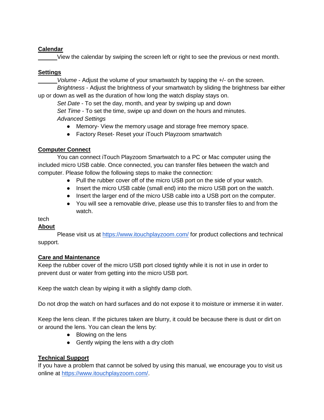## **Calendar**

View the calendar by swiping the screen left or right to see the previous or next month.

# **Settings**

*Volume* - Adjust the volume of your smartwatch by tapping the +/- on the screen.

*Brightness* - Adjust the brightness of your smartwatch by sliding the brightness bar either up or down as well as the duration of how long the watch display stays on.

*Set Date* - To set the day, month, and year by swiping up and down *Set Time* - To set the time, swipe up and down on the hours and minutes. *Advanced Settings* 

- Memory- View the memory usage and storage free memory space.
- Factory Reset- Reset your iTouch Playzoom smartwatch

# **Computer Connect**

You can connect iTouch Playzoom Smartwatch to a PC or Mac computer using the included micro USB cable. Once connected, you can transfer files between the watch and computer. Please follow the following steps to make the connection:

- Pull the rubber cover off of the micro USB port on the side of your watch.
- Insert the micro USB cable (small end) into the micro USB port on the watch.
- Insert the larger end of the micro USB cable into a USB port on the computer.
- You will see a removable drive, please use this to transfer files to and from the watch.

# tech

# **About**

Please visit us at<https://www.itouchplayzoom.com/>for product collections and technical support.

## **Care and Maintenance**

Keep the rubber cover of the micro USB port closed tightly while it is not in use in order to prevent dust or water from getting into the micro USB port.

Keep the watch clean by wiping it with a slightly damp cloth.

Do not drop the watch on hard surfaces and do not expose it to moisture or immerse it in water.

Keep the lens clean. If the pictures taken are blurry, it could be because there is dust or dirt on or around the lens. You can clean the lens by:

- Blowing on the lens
- Gently wiping the lens with a dry cloth

# **Technical Support**

If you have a problem that cannot be solved by using this manual, we encourage you to visit us online at [https://www.itouchplayzoom.com/.](https://www.itouchplayzoom.com/)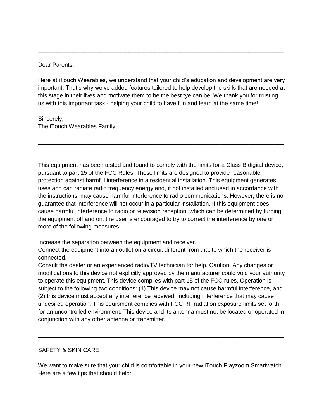Dear Parents,

Here at iTouch Wearables, we understand that your child's education and development are very important. That's why we've added features tailored to help develop the skills that are needed at this stage in their lives and motivate them to be the best tye can be. We thank you for trusting us with this important task - helping your child to have fun and learn at the same time!

\_\_\_\_\_\_\_\_\_\_\_\_\_\_\_\_\_\_\_\_\_\_\_\_\_\_\_\_\_\_\_\_\_\_\_\_\_\_\_\_\_\_\_\_\_\_\_\_\_\_\_\_\_\_\_\_\_\_\_\_\_\_\_\_\_\_\_\_\_\_\_\_\_\_\_\_

Sincerely,

The iTouch Wearables Family.

This equipment has been tested and found to comply with the limits for a Class B digital device, pursuant to part 15 of the FCC Rules. These limits are designed to provide reasonable protection against harmful interference in a residential installation. This equipment generates, uses and can radiate radio frequency energy and, if not installed and used in accordance with the instructions, may cause harmful interference to radio communications. However, there is no guarantee that interference will not occur in a particular installation. If this equipment does cause harmful interference to radio or television reception, which can be determined by turning the equipment off and on, the user is encouraged to try to correct the interference by one or more of the following measures:

\_\_\_\_\_\_\_\_\_\_\_\_\_\_\_\_\_\_\_\_\_\_\_\_\_\_\_\_\_\_\_\_\_\_\_\_\_\_\_\_\_\_\_\_\_\_\_\_\_\_\_\_\_\_\_\_\_\_\_\_\_\_\_\_\_\_\_\_\_\_\_\_\_\_\_\_

Increase the separation between the equipment and receiver.

Connect the equipment into an outlet on a circuit different from that to which the receiver is connected.

Consult the dealer or an experienced radio/TV technician for help. Caution: Any changes or modifications to this device not explicitly approved by the manufacturer could void your authority to operate this equipment. This device complies with part 15 of the FCC rules. Operation is subject to the following two conditions: (1) This device may not cause harmful interference, and (2) this device must accept any interference received, including interference that may cause undesired operation. This equipment complies with FCC RF radiation exposure limits set forth for an uncontrolled environment. This device and its antenna must not be located or operated in conjunction with any other antenna or transmitter.

## SAFETY & SKIN CARE

We want to make sure that your child is comfortable in your new iTouch Playzoom Smartwatch Here are a few tips that should help:

\_\_\_\_\_\_\_\_\_\_\_\_\_\_\_\_\_\_\_\_\_\_\_\_\_\_\_\_\_\_\_\_\_\_\_\_\_\_\_\_\_\_\_\_\_\_\_\_\_\_\_\_\_\_\_\_\_\_\_\_\_\_\_\_\_\_\_\_\_\_\_\_\_\_\_\_